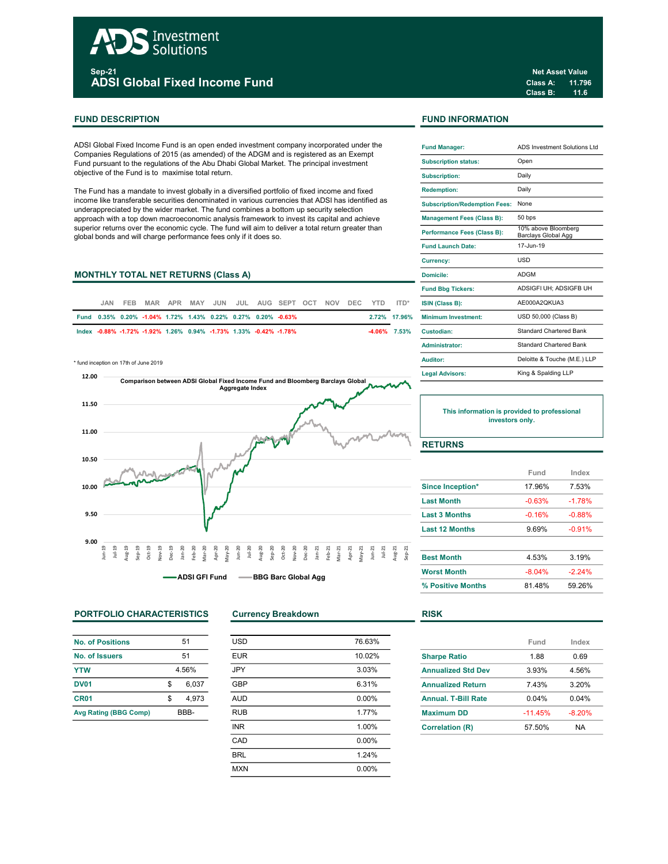# Investment<br>Solutions <sub>sep-21</sub><br>ADSI Global Fixed Income Fund

# FUND DESCRIPTION **FUND INFORMATION**

ADSI Global Fixed Income Fund is an open ended investment company incorporated under the Companies Regulations of 2015 (as amended) of the ADGM and is registered as an Exempt Fund pursuant to the regulations of the Abu Dhabi Global Market. The principal investment objective of the Fund is to maximise total return.

The Fund has a mandate to invest globally in a diversified portfolio of fixed income and fixed income like transferable securities denominated in various currencies that ADSI has identified as underappreciated by the wider market. The fund combines a bottom up security selection approach with a top down macroeconomic analysis framework to invest its capital and achieve superior returns over the economic cycle. The fund will aim to deliver a total return greater than global bonds and will charge performance fees only if it does so.

# MONTHLY TOTAL NET RETURNS (Class A)

| JAN. | FFB. |                                                                   |  |  | MAR APR MAY JUN JUL AUG SEPT OCT NOV DEC YTD ITD*            |  |  |                 | <b>ISIN (Class B):</b>           |
|------|------|-------------------------------------------------------------------|--|--|--------------------------------------------------------------|--|--|-----------------|----------------------------------|
|      |      |                                                                   |  |  | Fund 0.35% 0.20% -1.04% 1.72% 1.43% 0.22% 0.27% 0.20% -0.63% |  |  |                 | 2.72% 17.96% Minimum Investment: |
|      |      | lndex -0.88% -1.72% -1.92% 1.26% 0.94% -1.73% 1.33% -0.42% -1.78% |  |  |                                                              |  |  | $-4.06\%$ 7.53% | Custodian:                       |

\* fund inception on 17th of June 2019



PORTFOLIO CHARACTERISTICS Currency Breakdown RISK

| <b>No. of Positions</b>      | 51          |
|------------------------------|-------------|
| No. of Issuers               | 51          |
| <b>YTW</b>                   | 4.56%       |
| <b>DV01</b>                  | \$<br>6.037 |
| CR <sub>01</sub>             | \$<br>4.973 |
| <b>Avg Rating (BBG Comp)</b> | BBB-        |

| <b>USD</b> | 76.63%   |
|------------|----------|
| <b>EUR</b> | 10.02%   |
| <b>JPY</b> | 3.03%    |
| <b>GBP</b> | 6.31%    |
| <b>AUD</b> | $0.00\%$ |
| <b>RUB</b> | 1.77%    |
| <b>INR</b> | 1.00%    |
| CAD        | 0.00%    |
| <b>BRL</b> | 1.24%    |
| <b>MXN</b> | 0.00%    |
|            |          |

Class A: 11.796 Class B: 11.6 Net Asset Value

| <b>Fund Manager:</b>                 | ADS Investment Solutions Ltd                      |
|--------------------------------------|---------------------------------------------------|
| <b>Subscription status:</b>          | Open                                              |
| <b>Subscription:</b>                 | Daily                                             |
| <b>Redemption:</b>                   | Daily                                             |
| <b>Subscription/Redemption Fees:</b> | None                                              |
| <b>Management Fees (Class B):</b>    | 50 bps                                            |
| Performance Fees (Class B):          | 10% above Bloomberg<br><b>Barclays Global Agg</b> |
| <b>Fund Launch Date:</b>             | 17-Jun-19                                         |
| <b>Currency:</b>                     | <b>USD</b>                                        |
| Domicile:                            | <b>ADGM</b>                                       |
| <b>Fund Bbg Tickers:</b>             | ADSIGFI UH: ADSIGFB UH                            |
| ISIN (Class B):                      | AE000A2OKUA3                                      |
| Minimum Investment:                  | USD 50,000 (Class B)                              |
| Custodian:                           | Standard Chartered Bank                           |
| Administrator:                       | <b>Standard Chartered Bank</b>                    |
| Auditor:                             | Deloitte & Touche (M.E.) LLP                      |
| <b>Legal Advisors:</b>               | King & Spalding LLP                               |

This information is provided to professional investors only.

# **RETURNS**

|                       | Fund     | Index    |
|-----------------------|----------|----------|
| Since Inception*      | 17.96%   | 7.53%    |
| <b>Last Month</b>     | $-0.63%$ | $-1.78%$ |
| <b>Last 3 Months</b>  | $-0.16%$ | $-0.88%$ |
| <b>Last 12 Months</b> | 9.69%    | $-0.91%$ |
| <b>Best Month</b>     | 4.53%    | 3.19%    |
| <b>Worst Month</b>    | $-8.04%$ | $-224%$  |
| % Positive Months     | 81.48%   | 59.26%   |

|                            | Fund      | Index    |
|----------------------------|-----------|----------|
| <b>Sharpe Ratio</b>        | 1.88      | 0.69     |
| <b>Annualized Std Dev</b>  | 3.93%     | 4.56%    |
| <b>Annualized Return</b>   | 743%      | 3.20%    |
| <b>Annual, T-Bill Rate</b> | 0.04%     | 0.04%    |
| <b>Maximum DD</b>          | $-11.45%$ | $-8.20%$ |
| <b>Correlation (R)</b>     | 57.50%    | NA       |